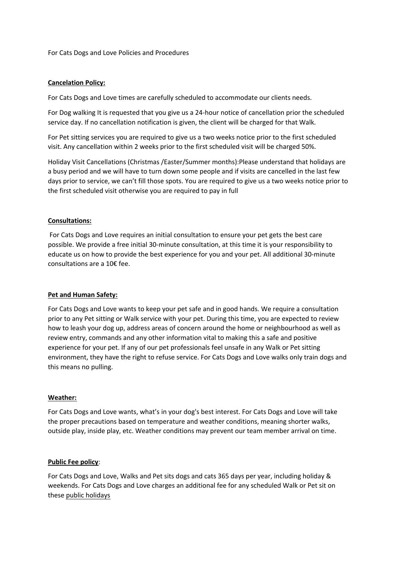For Cats Dogs and Love Policies and Procedures

## **Cancelation Policy:**

For Cats Dogs and Love times are carefully scheduled to accommodate our clients needs.

For Dog walking It is requested that you give us a 24-hour notice of cancellation prior the scheduled service day. If no cancellation notification is given, the client will be charged for that Walk.

For Pet sitting services you are required to give us a two weeks notice prior to the first scheduled visit. Any cancellation within 2 weeks prior to the first scheduled visit will be charged 50%.

Holiday Visit Cancellations (Christmas /Easter/Summer months):Please understand that holidays are a busy period and we will have to turn down some people and if visits are cancelled in the last few days prior to service, we can't fill those spots. You are required to give us a two weeks notice prior to the first scheduled visit otherwise you are required to pay in full

# **Consultations:**

For Cats Dogs and Love requires an initial consultation to ensure your pet gets the best care possible. We provide a free initial 30-minute consultation, at this time it is your responsibility to educate us on how to provide the best experience for you and your pet. All additional 30-minute consultations are a 10€ fee.

## **Pet and Human Safety:**

For Cats Dogs and Love wants to keep your pet safe and in good hands. We require a consultation prior to any Pet sitting or Walk service with your pet. During this time, you are expected to review how to leash your dog up, address areas of concern around the home or neighbourhood as well as review entry, commands and any other information vital to making this a safe and positive experience for your pet. If any of our pet professionals feel unsafe in any Walk or Pet sitting environment, they have the right to refuse service. For Cats Dogs and Love walks only train dogs and this means no pulling.

## **Weather:**

For Cats Dogs and Love wants, what's in your dog's best interest. For Cats Dogs and Love will take the proper precautions based on temperature and weather conditions, meaning shorter walks, outside play, inside play, etc. Weather conditions may prevent our team member arrival on time.

## **Public Fee policy**:

For Cats Dogs and Love, Walks and Pet sits dogs and cats 365 days per year, including holiday & weekends. For Cats Dogs and Love charges an additional fee for any scheduled Walk or Pet sit on these [public holidays](https://www.forcatsdogsandlove.com/public-holiday)